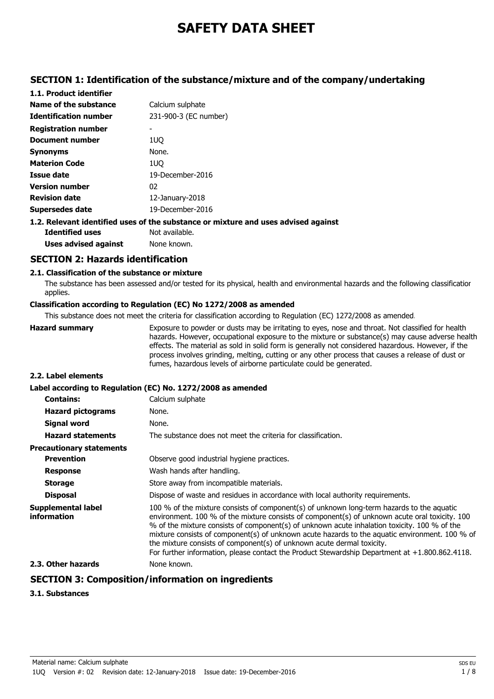# **SAFETY DATA SHEET**

# **SECTION 1: Identification of the substance/mixture and of the company/undertaking**

| 1.1. Product identifier      |                                                                                    |
|------------------------------|------------------------------------------------------------------------------------|
| Name of the substance        | Calcium sulphate                                                                   |
| <b>Identification number</b> | 231-900-3 (EC number)                                                              |
| <b>Registration number</b>   |                                                                                    |
| <b>Document number</b>       | 1UO                                                                                |
| <b>Synonyms</b>              | None.                                                                              |
| <b>Materion Code</b>         | 1UO                                                                                |
| Issue date                   | 19-December-2016                                                                   |
| <b>Version number</b>        | 02                                                                                 |
| <b>Revision date</b>         | $12$ -January-2018                                                                 |
| Supersedes date              | 19-December-2016                                                                   |
|                              | 1.2. Relevant identified uses of the substance or mixture and uses advised against |

**Identified uses** Not available. **Uses advised against** None known.

# **SECTION 2: Hazards identification**

### **2.1. Classification of the substance or mixture**

The substance has been assessed and/or tested for its physical, health and environmental hazards and the following classification applies.

### **Classification according to Regulation (EC) No 1272/2008 as amended**

This substance does not meet the criteria for classification according to Regulation (EC) 1272/2008 as amended.

| <b>Hazard summary</b> | Exposure to powder or dusts may be irritating to eyes, nose and throat. Not classified for health  |
|-----------------------|----------------------------------------------------------------------------------------------------|
|                       | hazards. However, occupational exposure to the mixture or substance(s) may cause adverse health    |
|                       | effects. The material as sold in solid form is generally not considered hazardous. However, if the |
|                       | process involves grinding, melting, cutting or any other process that causes a release of dust or  |
|                       | fumes, hazardous levels of airborne particulate could be generated.                                |

### **2.2. Label elements**

# **Label according to Regulation (EC) No. 1272/2008 as amended**

| <b>Contains:</b>                         | Calcium sulphate                                                                                                                                                                                                                                                                                                                                                                                                                                                                                                                                                             |
|------------------------------------------|------------------------------------------------------------------------------------------------------------------------------------------------------------------------------------------------------------------------------------------------------------------------------------------------------------------------------------------------------------------------------------------------------------------------------------------------------------------------------------------------------------------------------------------------------------------------------|
| <b>Hazard pictograms</b>                 | None.                                                                                                                                                                                                                                                                                                                                                                                                                                                                                                                                                                        |
| <b>Signal word</b>                       | None.                                                                                                                                                                                                                                                                                                                                                                                                                                                                                                                                                                        |
| <b>Hazard statements</b>                 | The substance does not meet the criteria for classification.                                                                                                                                                                                                                                                                                                                                                                                                                                                                                                                 |
| <b>Precautionary statements</b>          |                                                                                                                                                                                                                                                                                                                                                                                                                                                                                                                                                                              |
| <b>Prevention</b>                        | Observe good industrial hygiene practices.                                                                                                                                                                                                                                                                                                                                                                                                                                                                                                                                   |
| <b>Response</b>                          | Wash hands after handling.                                                                                                                                                                                                                                                                                                                                                                                                                                                                                                                                                   |
| <b>Storage</b>                           | Store away from incompatible materials.                                                                                                                                                                                                                                                                                                                                                                                                                                                                                                                                      |
| <b>Disposal</b>                          | Dispose of waste and residues in accordance with local authority requirements.                                                                                                                                                                                                                                                                                                                                                                                                                                                                                               |
| <b>Supplemental label</b><br>information | 100 % of the mixture consists of component(s) of unknown long-term hazards to the aquatic<br>environment. 100 % of the mixture consists of component(s) of unknown acute oral toxicity. 100<br>% of the mixture consists of component(s) of unknown acute inhalation toxicity. 100 % of the<br>mixture consists of component(s) of unknown acute hazards to the aquatic environment. 100 % of<br>the mixture consists of component(s) of unknown acute dermal toxicity.<br>For further information, please contact the Product Stewardship Department at $+1.800.862.4118$ . |
| 2.3. Other hazards                       | None known.                                                                                                                                                                                                                                                                                                                                                                                                                                                                                                                                                                  |

# **SECTION 3: Composition/information on ingredients**

### **3.1. Substances**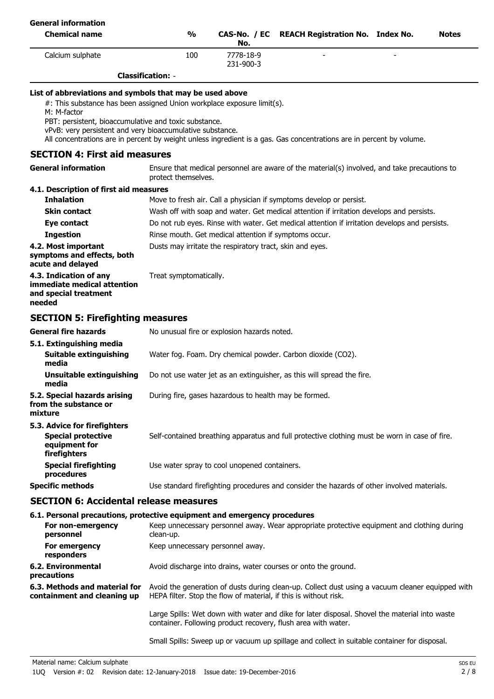| <b>General information</b>                                                                                                                                                                                                                                                                                                                                                                      |                                                                                                                                                                                     |                        |  |                                                                                                                                                                                           |  |  |              |
|-------------------------------------------------------------------------------------------------------------------------------------------------------------------------------------------------------------------------------------------------------------------------------------------------------------------------------------------------------------------------------------------------|-------------------------------------------------------------------------------------------------------------------------------------------------------------------------------------|------------------------|--|-------------------------------------------------------------------------------------------------------------------------------------------------------------------------------------------|--|--|--------------|
| <b>Chemical name</b>                                                                                                                                                                                                                                                                                                                                                                            | $\frac{1}{2}$                                                                                                                                                                       | CAS-No. / EC<br>No.    |  | <b>REACH Registration No. Index No.</b>                                                                                                                                                   |  |  | <b>Notes</b> |
| Calcium sulphate                                                                                                                                                                                                                                                                                                                                                                                | 100                                                                                                                                                                                 | 7778-18-9<br>231-900-3 |  |                                                                                                                                                                                           |  |  |              |
|                                                                                                                                                                                                                                                                                                                                                                                                 | <b>Classification: -</b>                                                                                                                                                            |                        |  |                                                                                                                                                                                           |  |  |              |
| List of abbreviations and symbols that may be used above<br>#: This substance has been assigned Union workplace exposure limit(s).<br>M: M-factor<br>PBT: persistent, bioaccumulative and toxic substance.<br>vPvB: very persistent and very bioaccumulative substance.<br>All concentrations are in percent by weight unless ingredient is a gas. Gas concentrations are in percent by volume. |                                                                                                                                                                                     |                        |  |                                                                                                                                                                                           |  |  |              |
| <b>SECTION 4: First aid measures</b>                                                                                                                                                                                                                                                                                                                                                            |                                                                                                                                                                                     |                        |  |                                                                                                                                                                                           |  |  |              |
| <b>General information</b>                                                                                                                                                                                                                                                                                                                                                                      | protect themselves.                                                                                                                                                                 |                        |  | Ensure that medical personnel are aware of the material(s) involved, and take precautions to                                                                                              |  |  |              |
| 4.1. Description of first aid measures                                                                                                                                                                                                                                                                                                                                                          |                                                                                                                                                                                     |                        |  |                                                                                                                                                                                           |  |  |              |
| <b>Inhalation</b>                                                                                                                                                                                                                                                                                                                                                                               |                                                                                                                                                                                     |                        |  | Move to fresh air. Call a physician if symptoms develop or persist.                                                                                                                       |  |  |              |
| <b>Skin contact</b><br>Eye contact                                                                                                                                                                                                                                                                                                                                                              |                                                                                                                                                                                     |                        |  | Wash off with soap and water. Get medical attention if irritation develops and persists.<br>Do not rub eyes. Rinse with water. Get medical attention if irritation develops and persists. |  |  |              |
| <b>Ingestion</b>                                                                                                                                                                                                                                                                                                                                                                                | Rinse mouth. Get medical attention if symptoms occur.                                                                                                                               |                        |  |                                                                                                                                                                                           |  |  |              |
| 4.2. Most important<br>symptoms and effects, both<br>acute and delayed                                                                                                                                                                                                                                                                                                                          | Dusts may irritate the respiratory tract, skin and eyes.                                                                                                                            |                        |  |                                                                                                                                                                                           |  |  |              |
| 4.3. Indication of any<br>immediate medical attention<br>and special treatment<br>needed                                                                                                                                                                                                                                                                                                        | Treat symptomatically.                                                                                                                                                              |                        |  |                                                                                                                                                                                           |  |  |              |
| <b>SECTION 5: Firefighting measures</b>                                                                                                                                                                                                                                                                                                                                                         |                                                                                                                                                                                     |                        |  |                                                                                                                                                                                           |  |  |              |
| <b>General fire hazards</b>                                                                                                                                                                                                                                                                                                                                                                     | No unusual fire or explosion hazards noted.                                                                                                                                         |                        |  |                                                                                                                                                                                           |  |  |              |
| 5.1. Extinguishing media<br><b>Suitable extinguishing</b><br>media                                                                                                                                                                                                                                                                                                                              | Water fog. Foam. Dry chemical powder. Carbon dioxide (CO2).                                                                                                                         |                        |  |                                                                                                                                                                                           |  |  |              |
| <b>Unsuitable extinguishing</b><br>media                                                                                                                                                                                                                                                                                                                                                        | Do not use water jet as an extinguisher, as this will spread the fire.                                                                                                              |                        |  |                                                                                                                                                                                           |  |  |              |
| 5.2. Special hazards arising<br>from the substance or<br>mixture                                                                                                                                                                                                                                                                                                                                | During fire, gases hazardous to health may be formed.                                                                                                                               |                        |  |                                                                                                                                                                                           |  |  |              |
| 5.3. Advice for firefighters<br><b>Special protective</b><br>equipment for<br>firefighters                                                                                                                                                                                                                                                                                                      | Self-contained breathing apparatus and full protective clothing must be worn in case of fire.                                                                                       |                        |  |                                                                                                                                                                                           |  |  |              |
| <b>Special firefighting</b><br>procedures                                                                                                                                                                                                                                                                                                                                                       | Use water spray to cool unopened containers.                                                                                                                                        |                        |  |                                                                                                                                                                                           |  |  |              |
| <b>Specific methods</b>                                                                                                                                                                                                                                                                                                                                                                         | Use standard firefighting procedures and consider the hazards of other involved materials.                                                                                          |                        |  |                                                                                                                                                                                           |  |  |              |
| <b>SECTION 6: Accidental release measures</b>                                                                                                                                                                                                                                                                                                                                                   |                                                                                                                                                                                     |                        |  |                                                                                                                                                                                           |  |  |              |
| For non-emergency<br>personnel                                                                                                                                                                                                                                                                                                                                                                  | 6.1. Personal precautions, protective equipment and emergency procedures<br>Keep unnecessary personnel away. Wear appropriate protective equipment and clothing during<br>clean-up. |                        |  |                                                                                                                                                                                           |  |  |              |
| For emergency<br>responders                                                                                                                                                                                                                                                                                                                                                                     | Keep unnecessary personnel away.                                                                                                                                                    |                        |  |                                                                                                                                                                                           |  |  |              |
| <b>6.2. Environmental</b><br>precautions                                                                                                                                                                                                                                                                                                                                                        | Avoid discharge into drains, water courses or onto the ground.                                                                                                                      |                        |  |                                                                                                                                                                                           |  |  |              |
| 6.3. Methods and material for<br>containment and cleaning up                                                                                                                                                                                                                                                                                                                                    | Avoid the generation of dusts during clean-up. Collect dust using a vacuum cleaner equipped with<br>HEPA filter. Stop the flow of material, if this is without risk.                |                        |  |                                                                                                                                                                                           |  |  |              |

Large Spills: Wet down with water and dike for later disposal. Shovel the material into waste container. Following product recovery, flush area with water.

Small Spills: Sweep up or vacuum up spillage and collect in suitable container for disposal.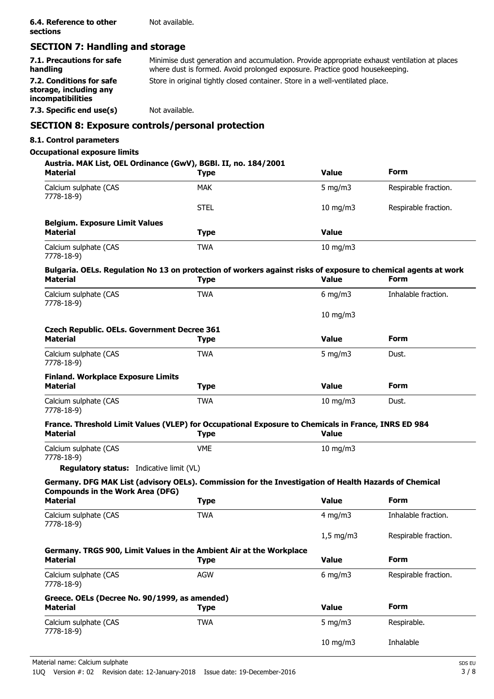# **SECTION 7: Handling and storage**

| 7.1. Precautions for safe<br>handling                                   | Minimise dust generation and accumulation. Provide appropriate exhaust ventilation at places<br>where dust is formed. Avoid prolonged exposure. Practice good housekeeping. |
|-------------------------------------------------------------------------|-----------------------------------------------------------------------------------------------------------------------------------------------------------------------------|
| 7.2. Conditions for safe<br>storage, including any<br>incompatibilities | Store in original tightly closed container. Store in a well-ventilated place.                                                                                               |
| 7.3. Specific end use(s)                                                | Not available.                                                                                                                                                              |

# **SECTION 8: Exposure controls/personal protection**

### **8.1. Control parameters**

### **Occupational exposure limits**

### **Austria. MAK List, OEL Ordinance (GwV), BGBl. II, no. 184/2001**

| <b>Material</b>                       | <b>Type</b> | <b>Value</b>      | <b>Form</b>          |
|---------------------------------------|-------------|-------------------|----------------------|
| Calcium sulphate (CAS<br>7778-18-9)   | <b>MAK</b>  | 5 mg/m $3$        | Respirable fraction. |
|                                       | <b>STEL</b> | 10 mg/m $3$       | Respirable fraction. |
| <b>Belgium. Exposure Limit Values</b> |             |                   |                      |
| <b>Material</b>                       | <b>Type</b> | <b>Value</b>      |                      |
| Calcium sulphate (CAS<br>7778-18-9)   | <b>TWA</b>  | $10 \text{ mg/m}$ |                      |

### **Bulgaria. OELs. Regulation No 13 on protection of workers against risks of exposure to chemical agents at work<br>Material Community of the Calue Material Type Value Form**

| Calcium sulphate (CAS<br>7778-18-9)                                   | <b>TWA</b>                                                                                                         | $6$ mg/m $3$     | Inhalable fraction.  |
|-----------------------------------------------------------------------|--------------------------------------------------------------------------------------------------------------------|------------------|----------------------|
|                                                                       |                                                                                                                    | $10$ mg/m $3$    |                      |
| <b>Czech Republic. OELs. Government Decree 361</b><br><b>Material</b> | <b>Type</b>                                                                                                        | <b>Value</b>     | Form                 |
| Calcium sulphate (CAS<br>7778-18-9)                                   | <b>TWA</b>                                                                                                         | $5 \text{ mg/m}$ | Dust.                |
| <b>Finland. Workplace Exposure Limits</b><br><b>Material</b>          | <b>Type</b>                                                                                                        | <b>Value</b>     | <b>Form</b>          |
| Calcium sulphate (CAS<br>7778-18-9)                                   | <b>TWA</b>                                                                                                         | $10$ mg/m $3$    | Dust.                |
| <b>Material</b>                                                       | France. Threshold Limit Values (VLEP) for Occupational Exposure to Chemicals in France, INRS ED 984<br><b>Type</b> | <b>Value</b>     |                      |
| Calcium sulphate (CAS<br>7778-18-9)                                   | <b>VME</b>                                                                                                         | 10 mg/m3         |                      |
| <b>Regulatory status:</b> Indicative limit (VL)                       |                                                                                                                    |                  |                      |
|                                                                       | Germany. DFG MAK List (advisory OELs). Commission for the Investigation of Health Hazards of Chemical              |                  |                      |
| <b>Compounds in the Work Area (DFG)</b><br><b>Material</b>            | <b>Type</b>                                                                                                        | <b>Value</b>     | <b>Form</b>          |
| Calcium sulphate (CAS<br>7778-18-9)                                   | <b>TWA</b>                                                                                                         | $4$ mg/m $3$     | Inhalable fraction.  |
|                                                                       |                                                                                                                    | $1,5$ mg/m3      | Respirable fraction. |
| <b>Material</b>                                                       | Germany. TRGS 900, Limit Values in the Ambient Air at the Workplace<br><b>Type</b>                                 | <b>Value</b>     | Form                 |
| Calcium sulphate (CAS<br>7778-18-9)                                   | <b>AGW</b>                                                                                                         | $6$ mg/m $3$     | Respirable fraction. |
| Greece. OELs (Decree No. 90/1999, as amended)                         |                                                                                                                    |                  |                      |
| <b>Material</b>                                                       | <b>Type</b>                                                                                                        | <b>Value</b>     | <b>Form</b>          |
| Calcium sulphate (CAS<br>7778-18-9)                                   | <b>TWA</b>                                                                                                         | 5 mg/m $3$       | Respirable.          |
|                                                                       |                                                                                                                    | $10$ mg/m $3$    | Inhalable            |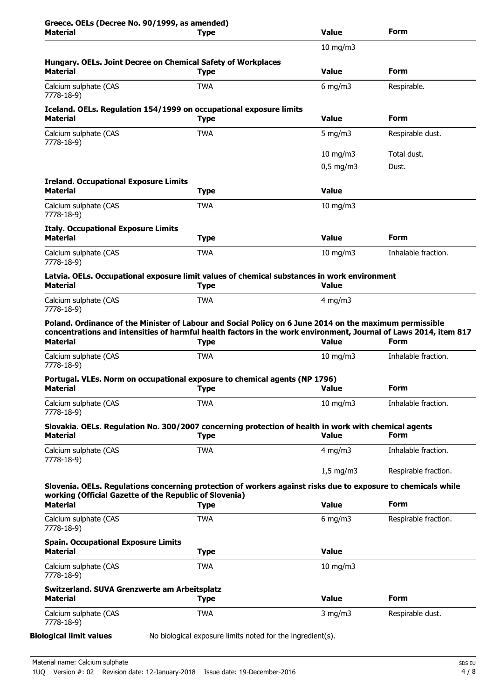| Greece. OELs (Decree No. 90/1999, as amended)<br><b>Material</b>                                                                                                                                                                               | <b>Type</b> | <b>Value</b>       | Form                 |
|------------------------------------------------------------------------------------------------------------------------------------------------------------------------------------------------------------------------------------------------|-------------|--------------------|----------------------|
|                                                                                                                                                                                                                                                |             | $10$ mg/m $3$      |                      |
| Hungary. OELs. Joint Decree on Chemical Safety of Workplaces<br><b>Material</b>                                                                                                                                                                | <b>Type</b> | <b>Value</b>       | Form                 |
| Calcium sulphate (CAS<br>7778-18-9)                                                                                                                                                                                                            | <b>TWA</b>  | $6$ mg/m3          | Respirable.          |
| Iceland. OELs. Regulation 154/1999 on occupational exposure limits<br><b>Material</b>                                                                                                                                                          | <b>Type</b> | <b>Value</b>       | <b>Form</b>          |
| Calcium sulphate (CAS<br>7778-18-9)                                                                                                                                                                                                            | <b>TWA</b>  | 5 mg/m $3$         | Respirable dust.     |
|                                                                                                                                                                                                                                                |             | 10 mg/m $3$        | Total dust.          |
|                                                                                                                                                                                                                                                |             | $0,5$ mg/m3        | Dust.                |
| <b>Ireland. Occupational Exposure Limits</b><br><b>Material</b>                                                                                                                                                                                | Type        | <b>Value</b>       |                      |
| Calcium sulphate (CAS<br>7778-18-9)                                                                                                                                                                                                            | <b>TWA</b>  | $10$ mg/m $3$      |                      |
| <b>Italy. Occupational Exposure Limits</b><br><b>Material</b>                                                                                                                                                                                  | <b>Type</b> | <b>Value</b>       | Form                 |
| Calcium sulphate (CAS<br>7778-18-9)                                                                                                                                                                                                            | <b>TWA</b>  | $10 \text{ mg/m}$  | Inhalable fraction.  |
| Latvia. OELs. Occupational exposure limit values of chemical substances in work environment<br><b>Material</b>                                                                                                                                 | <b>Type</b> | <b>Value</b>       |                      |
| Calcium sulphate (CAS<br>7778-18-9)                                                                                                                                                                                                            | <b>TWA</b>  | $4 \text{ mg/m}$   |                      |
| Poland. Ordinance of the Minister of Labour and Social Policy on 6 June 2014 on the maximum permissible<br>concentrations and intensities of harmful health factors in the work environment, Journal of Laws 2014, item 817<br><b>Material</b> | <b>Type</b> | <b>Value</b>       | Form                 |
| Calcium sulphate (CAS                                                                                                                                                                                                                          | <b>TWA</b>  | $10$ mg/m $3$      | Inhalable fraction.  |
| 7778-18-9)                                                                                                                                                                                                                                     |             |                    |                      |
| Portugal. VLEs. Norm on occupational exposure to chemical agents (NP 1796)<br>Material                                                                                                                                                         | <b>Type</b> | Value              | Form                 |
| Calcium sulphate (CAS<br>7778-18-9)                                                                                                                                                                                                            | <b>TWA</b>  | $10$ mg/m $3$      | Inhalable fraction.  |
| Slovakia. OELs. Regulation No. 300/2007 concerning protection of health in work with chemical agents<br><b>Material</b>                                                                                                                        | <b>Type</b> | <b>Value</b>       | Form                 |
| Calcium sulphate (CAS<br>7778-18-9)                                                                                                                                                                                                            | <b>TWA</b>  | 4 mg/m $3$         | Inhalable fraction.  |
|                                                                                                                                                                                                                                                |             | $1,5 \text{ mg/m}$ | Respirable fraction. |
| Slovenia. OELs. Regulations concerning protection of workers against risks due to exposure to chemicals while                                                                                                                                  |             |                    |                      |
| working (Official Gazette of the Republic of Slovenia)<br><b>Material</b>                                                                                                                                                                      | <b>Type</b> | <b>Value</b>       | <b>Form</b>          |
| Calcium sulphate (CAS<br>7778-18-9)                                                                                                                                                                                                            | <b>TWA</b>  | 6 mg/m $3$         | Respirable fraction. |
| <b>Spain. Occupational Exposure Limits</b><br><b>Material</b>                                                                                                                                                                                  | <b>Type</b> | <b>Value</b>       |                      |
| Calcium sulphate (CAS<br>7778-18-9)                                                                                                                                                                                                            | <b>TWA</b>  | $10$ mg/m $3$      |                      |
| Switzerland. SUVA Grenzwerte am Arbeitsplatz<br><b>Material</b>                                                                                                                                                                                | <b>Type</b> | <b>Value</b>       | Form                 |
| Calcium sulphate (CAS                                                                                                                                                                                                                          | <b>TWA</b>  | $3$ mg/m $3$       | Respirable dust.     |
| 7778-18-9)                                                                                                                                                                                                                                     |             |                    |                      |

**Biological limit values** No biological exposure limits noted for the ingredient(s).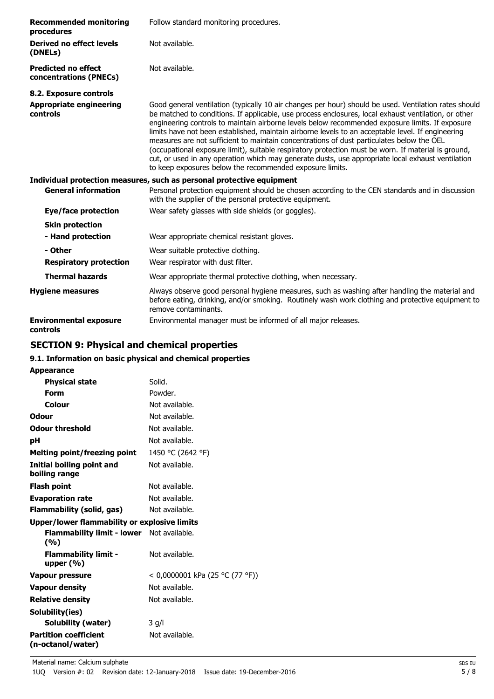| <b>Recommended monitoring</b><br>procedures          | Follow standard monitoring procedures.                                                                                                                                                                                                                                                                                                                                                                                                                                                                                                                                                                                                                                                                                                                                                     |
|------------------------------------------------------|--------------------------------------------------------------------------------------------------------------------------------------------------------------------------------------------------------------------------------------------------------------------------------------------------------------------------------------------------------------------------------------------------------------------------------------------------------------------------------------------------------------------------------------------------------------------------------------------------------------------------------------------------------------------------------------------------------------------------------------------------------------------------------------------|
| Derived no effect levels<br>(DNELs)                  | Not available.                                                                                                                                                                                                                                                                                                                                                                                                                                                                                                                                                                                                                                                                                                                                                                             |
| <b>Predicted no effect</b><br>concentrations (PNECs) | Not available.                                                                                                                                                                                                                                                                                                                                                                                                                                                                                                                                                                                                                                                                                                                                                                             |
| 8.2. Exposure controls                               |                                                                                                                                                                                                                                                                                                                                                                                                                                                                                                                                                                                                                                                                                                                                                                                            |
| <b>Appropriate engineering</b><br>controls           | Good general ventilation (typically 10 air changes per hour) should be used. Ventilation rates should<br>be matched to conditions. If applicable, use process enclosures, local exhaust ventilation, or other<br>engineering controls to maintain airborne levels below recommended exposure limits. If exposure<br>limits have not been established, maintain airborne levels to an acceptable level. If engineering<br>measures are not sufficient to maintain concentrations of dust particulates below the OEL<br>(occupational exposure limit), suitable respiratory protection must be worn. If material is ground,<br>cut, or used in any operation which may generate dusts, use appropriate local exhaust ventilation<br>to keep exposures below the recommended exposure limits. |
|                                                      | Individual protection measures, such as personal protective equipment                                                                                                                                                                                                                                                                                                                                                                                                                                                                                                                                                                                                                                                                                                                      |
| <b>General information</b>                           | Personal protection equipment should be chosen according to the CEN standards and in discussion<br>with the supplier of the personal protective equipment.                                                                                                                                                                                                                                                                                                                                                                                                                                                                                                                                                                                                                                 |
| Eye/face protection                                  | Wear safety glasses with side shields (or goggles).                                                                                                                                                                                                                                                                                                                                                                                                                                                                                                                                                                                                                                                                                                                                        |
| <b>Skin protection</b>                               |                                                                                                                                                                                                                                                                                                                                                                                                                                                                                                                                                                                                                                                                                                                                                                                            |
| - Hand protection                                    | Wear appropriate chemical resistant gloves.                                                                                                                                                                                                                                                                                                                                                                                                                                                                                                                                                                                                                                                                                                                                                |
| - Other                                              | Wear suitable protective clothing.                                                                                                                                                                                                                                                                                                                                                                                                                                                                                                                                                                                                                                                                                                                                                         |
| <b>Respiratory protection</b>                        | Wear respirator with dust filter.                                                                                                                                                                                                                                                                                                                                                                                                                                                                                                                                                                                                                                                                                                                                                          |
| <b>Thermal hazards</b>                               | Wear appropriate thermal protective clothing, when necessary.                                                                                                                                                                                                                                                                                                                                                                                                                                                                                                                                                                                                                                                                                                                              |
| <b>Hygiene measures</b>                              | Always observe good personal hygiene measures, such as washing after handling the material and                                                                                                                                                                                                                                                                                                                                                                                                                                                                                                                                                                                                                                                                                             |

before eating, drinking, and/or smoking. Routinely wash work clothing and protective equipment to

**Environmental exposure** Environmental manager must be informed of all major releases. **controls**

# **SECTION 9: Physical and chemical properties**

### **9.1. Information on basic physical and chemical properties**

remove contaminants.

|  | <b>Appearance</b> |  |
|--|-------------------|--|
|  |                   |  |

| <b>Physical state</b>                                   | Solid.                          |
|---------------------------------------------------------|---------------------------------|
| Form                                                    | Powder.                         |
| Colour                                                  | Not available.                  |
| <b>Odour</b>                                            | Not available.                  |
| <b>Odour threshold</b>                                  | Not available.                  |
| рH                                                      | Not available.                  |
| <b>Melting point/freezing point</b>                     | 1450 °C (2642 °F)               |
| Initial boiling point and<br>boiling range              | Not available.                  |
| <b>Flash point</b>                                      | Not available.                  |
| <b>Evaporation rate</b>                                 | Not available.                  |
| Flammability (solid, gas)                               | Not available.                  |
| <b>Upper/lower flammability or explosive limits</b>     |                                 |
| <b>Flammability limit - lower</b> Not available.<br>(%) |                                 |
| <b>Flammability limit -</b><br>upper $(% )$             | Not available.                  |
| <b>Vapour pressure</b>                                  | < 0,0000001 kPa (25 °C (77 °F)) |
| <b>Vapour density</b>                                   | Not available.                  |
| <b>Relative density</b>                                 | Not available.                  |
| Solubility(ies)                                         |                                 |
| Solubility (water)                                      | 3 q/l                           |
| <b>Partition coefficient</b><br>(n-octanol/water)       | Not available.                  |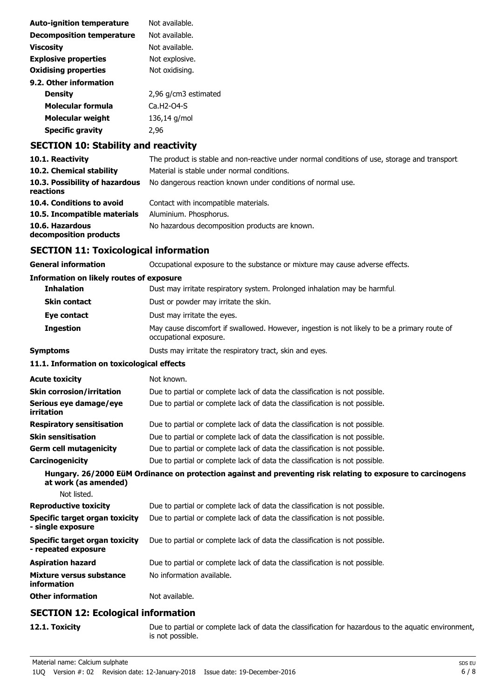| <b>Auto-ignition temperature</b> | Not available.       |
|----------------------------------|----------------------|
| <b>Decomposition temperature</b> | Not available.       |
| <b>Viscosity</b>                 | Not available.       |
| <b>Explosive properties</b>      | Not explosive.       |
| <b>Oxidising properties</b>      | Not oxidising.       |
| 9.2. Other information           |                      |
| Density                          | 2,96 g/cm3 estimated |
| Molecular formula                | $Ca.H2-O4-S$         |
| <b>Molecular weight</b>          | 136,14 g/mol         |
| <b>Specific gravity</b>          | 2.96                 |
|                                  |                      |

# **SECTION 10: Stability and reactivity**

| 10.1. Reactivity                            | The product is stable and non-reactive under normal conditions of use, storage and transport. |
|---------------------------------------------|-----------------------------------------------------------------------------------------------|
| 10.2. Chemical stability                    | Material is stable under normal conditions.                                                   |
| 10.3. Possibility of hazardous<br>reactions | No dangerous reaction known under conditions of normal use.                                   |
| 10.4. Conditions to avoid                   | Contact with incompatible materials.                                                          |
| 10.5. Incompatible materials                | Aluminium. Phosphorus.                                                                        |
| 10.6. Hazardous<br>decomposition products   | No hazardous decomposition products are known.                                                |

# **SECTION 11: Toxicological information**

| Occupational exposure to the substance or mixture may cause adverse effects.                                           |  |  |
|------------------------------------------------------------------------------------------------------------------------|--|--|
| <b>Information on likely routes of exposure</b>                                                                        |  |  |
| Dust may irritate respiratory system. Prolonged inhalation may be harmful.                                             |  |  |
| Dust or powder may irritate the skin.                                                                                  |  |  |
| Dust may irritate the eyes.                                                                                            |  |  |
| May cause discomfort if swallowed. However, ingestion is not likely to be a primary route of<br>occupational exposure. |  |  |
| Dusts may irritate the respiratory tract, skin and eyes.                                                               |  |  |
| 11.1. Information on toxicological effects                                                                             |  |  |
| Not known.                                                                                                             |  |  |
| Due to partial or complete lack of data the classification is not possible.                                            |  |  |
| Due to partial or complete lack of data the classification is not possible.                                            |  |  |
| Due to partial or complete lack of data the classification is not possible.                                            |  |  |
| Due to partial or complete lack of data the classification is not possible.                                            |  |  |
| Due to partial or complete lack of data the classification is not possible.                                            |  |  |
| Due to partial or complete lack of data the classification is not possible.                                            |  |  |
| Hungary. 26/2000 EüM Ordinance on protection against and preventing risk relating to exposure to carcinogens           |  |  |
|                                                                                                                        |  |  |
| Due to partial or complete lack of data the classification is not possible.                                            |  |  |
| Due to partial or complete lack of data the classification is not possible.                                            |  |  |
| Due to partial or complete lack of data the classification is not possible.                                            |  |  |
| Due to partial or complete lack of data the classification is not possible.                                            |  |  |
| No information available.                                                                                              |  |  |
| Not available.                                                                                                         |  |  |
|                                                                                                                        |  |  |

# **SECTION 12: Ecological information**

**12.1. Toxicity** Due to partial or complete lack of data the classification for hazardous to the aquatic environment, is not possible.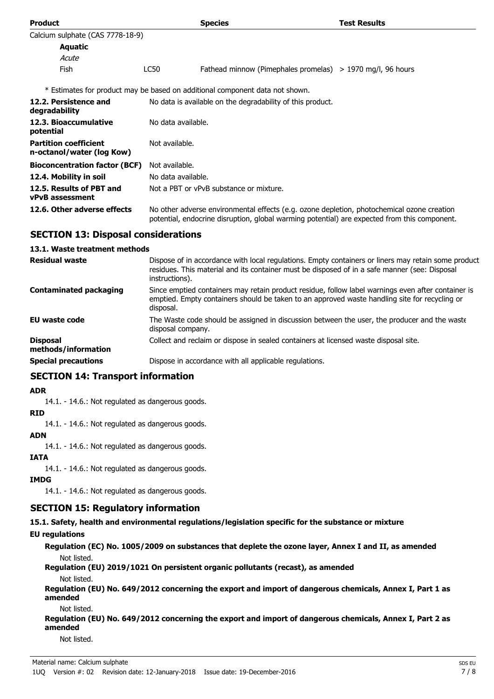| <b>Product</b>                                            |                                                            | <b>Species</b>                                                                                                                                                                             | <b>Test Results</b> |  |  |
|-----------------------------------------------------------|------------------------------------------------------------|--------------------------------------------------------------------------------------------------------------------------------------------------------------------------------------------|---------------------|--|--|
| Calcium sulphate (CAS 7778-18-9)                          |                                                            |                                                                                                                                                                                            |                     |  |  |
| Aquatic                                                   |                                                            |                                                                                                                                                                                            |                     |  |  |
| Acute                                                     |                                                            |                                                                                                                                                                                            |                     |  |  |
| <b>Fish</b>                                               | LC50                                                       | Fathead minnow (Pimephales promelas) $> 1970$ mg/l, 96 hours                                                                                                                               |                     |  |  |
|                                                           |                                                            | * Estimates for product may be based on additional component data not shown.                                                                                                               |                     |  |  |
| 12.2. Persistence and<br>degradability                    | No data is available on the degradability of this product. |                                                                                                                                                                                            |                     |  |  |
| 12.3. Bioaccumulative<br>potential                        |                                                            | No data available.                                                                                                                                                                         |                     |  |  |
| <b>Partition coefficient</b><br>n-octanol/water (log Kow) | Not available.                                             |                                                                                                                                                                                            |                     |  |  |
| <b>Bioconcentration factor (BCF)</b>                      | Not available.                                             |                                                                                                                                                                                            |                     |  |  |
| 12.4. Mobility in soil                                    | No data available.                                         |                                                                                                                                                                                            |                     |  |  |
| 12.5. Results of PBT and<br><b>vPvB</b> assessment        |                                                            | Not a PBT or vPvB substance or mixture.                                                                                                                                                    |                     |  |  |
| 12.6. Other adverse effects                               |                                                            | No other adverse environmental effects (e.g. ozone depletion, photochemical ozone creation<br>potential, endocrine disruption, global warming potential) are expected from this component. |                     |  |  |

# **SECTION 13: Disposal considerations**

### **13.1. Waste treatment methods**

| <b>Residual waste</b>                  | Dispose of in accordance with local regulations. Empty containers or liners may retain some product<br>residues. This material and its container must be disposed of in a safe manner (see: Disposal<br>instructions). |
|----------------------------------------|------------------------------------------------------------------------------------------------------------------------------------------------------------------------------------------------------------------------|
| <b>Contaminated packaging</b>          | Since emptied containers may retain product residue, follow label warnings even after container is<br>emptied. Empty containers should be taken to an approved waste handling site for recycling or<br>disposal.       |
| <b>EU waste code</b>                   | The Waste code should be assigned in discussion between the user, the producer and the waste<br>disposal company.                                                                                                      |
| <b>Disposal</b><br>methods/information | Collect and reclaim or dispose in sealed containers at licensed waste disposal site.                                                                                                                                   |
| <b>Special precautions</b>             | Dispose in accordance with all applicable regulations.                                                                                                                                                                 |

### **SECTION 14: Transport information**

### **ADR**

14.1. - 14.6.: Not regulated as dangerous goods.

### **RID**

14.1. - 14.6.: Not regulated as dangerous goods.

### **ADN**

14.1. - 14.6.: Not regulated as dangerous goods.

### **IATA**

14.1. - 14.6.: Not regulated as dangerous goods.

### **IMDG**

14.1. - 14.6.: Not regulated as dangerous goods.

### **SECTION 15: Regulatory information**

**15.1. Safety, health and environmental regulations/legislation specific for the substance or mixture**

### **EU regulations**

**Regulation (EC) No. 1005/2009 on substances that deplete the ozone layer, Annex I and II, as amended** Not listed.

**Regulation (EU) 2019/1021 On persistent organic pollutants (recast), as amended**

#### Not listed.

**Regulation (EU) No. 649/2012 concerning the export and import of dangerous chemicals, Annex I, Part 1 as amended**

#### Not listed.

**Regulation (EU) No. 649/2012 concerning the export and import of dangerous chemicals, Annex I, Part 2 as amended**

Not listed.